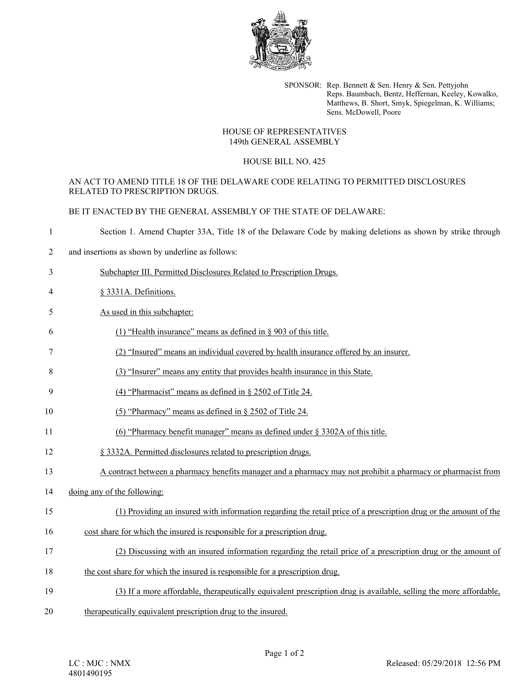

SPONSOR: Rep. Bennett & Sen. Henry & Sen. Pettyjohn Reps. Baumbach, Bentz, Heffernan, Keeley, Kowalko, Matthews, B. Short, Smyk, Spiegelman, K. Williams; Sens. McDowell, Poore

# HOUSE OF REPRESENTATIVES 149th GENERAL ASSEMBLY

#### HOUSE BILL NO. 425

# AN ACT TO AMEND TITLE 18 OF THE DELAWARE CODE RELATING TO PERMITTED DISCLOSURES RELATED TO PRESCRIPTION DRUGS.

BE IT ENACTED BY THE GENERAL ASSEMBLY OF THE STATE OF DELAWARE:

- 1 Section 1. Amend Chapter 33A, Title 18 of the Delaware Code by making deletions as shown by strike through
- 2 and insertions as shown by underline as follows:
- 3 Subchapter III. Permitted Disclosures Related to Prescription Drugs.
- 4 § 3331A. Definitions.
- 5 As used in this subchapter:
- 6 (1) "Health insurance" means as defined in § 903 of this title.
- 7 (2) "Insured" means an individual covered by health insurance offered by an insurer.
- 8 (3) "Insurer" means any entity that provides health insurance in this State.
- 9 (4) "Pharmacist" means as defined in § 2502 of Title 24.
- 10 (5) "Pharmacy" means as defined in § 2502 of Title 24.
- 11 (6) "Pharmacy benefit manager" means as defined under § 3302A of this title.
- 12 § 3332A. Permitted disclosures related to prescription drugs.
- 13 A contract between a pharmacy benefits manager and a pharmacy may not prohibit a pharmacy or pharmacist from
- 14 doing any of the following:

## 15 (1) Providing an insured with information regarding the retail price of a prescription drug or the amount of the

- 16 cost share for which the insured is responsible for a prescription drug.
- 17 (2) Discussing with an insured information regarding the retail price of a prescription drug or the amount of
- 18 the cost share for which the insured is responsible for a prescription drug.
- 19 (3) If a more affordable, therapeutically equivalent prescription drug is available, selling the more affordable,
- 20 therapeutically equivalent prescription drug to the insured.